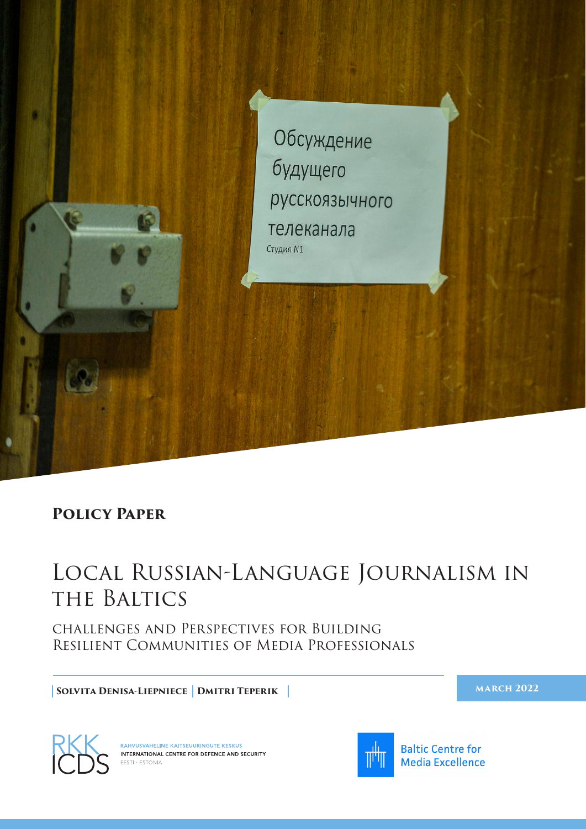

#### **Policy Paper**

# Local Russian-Language Journalism in THE BALTICS

challenges and Perspectives for Building Resilient Communities of Media Professionals

**Solvita Denisa-Liepniece Dmitri Teperik**

**march 2022** 



RAHVUSVAHELINE KAITSEUURINGUTE KESKUS INTERNATIONAL CENTRE FOR DEFENCE AND SECURITY  $ESTI \cdot ESTONIA$ 



**Baltic Centre for Media Excellence**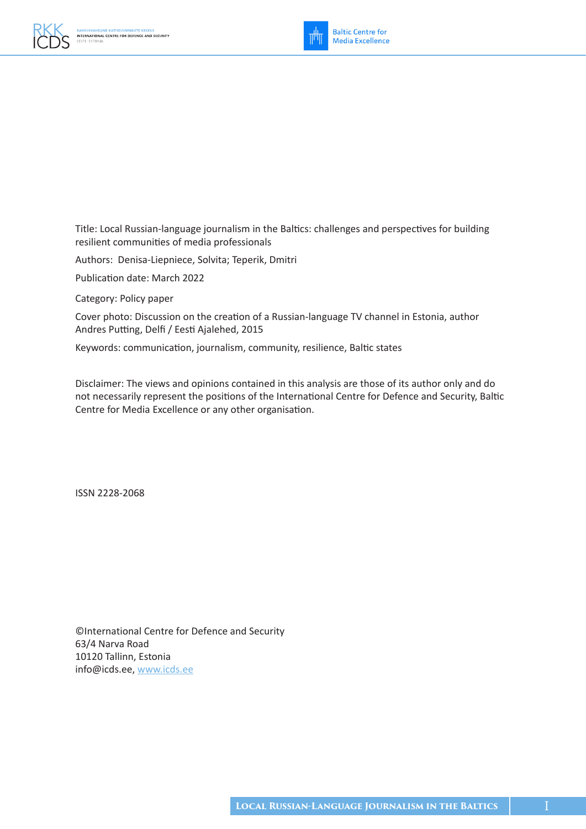



Title: Local Russian-language journalism in the Baltics: challenges and perspectives for building resilient communities of media professionals

Authors: Denisa-Liepniece, Solvita; Teperik, Dmitri

Publication date: March 2022

Category: Policy paper

Cover photo: Discussion on the creation of a Russian-language TV channel in Estonia, author Andres Putting, Delfi / Eesti Ajalehed, 2015

Keywords: communication, journalism, community, resilience, Baltic states

Disclaimer: The views and opinions contained in this analysis are those of its author only and do not necessarily represent the positions of the International Centre for Defence and Security, Baltic Centre for Media Excellence or any other organisation.

ISSN 2228-2068

©International Centre for Defence and Security 63/4 Narva Road 10120 Tallinn, Estonia info@icds.ee, [www.icds.ee](https://icds.ee/en/)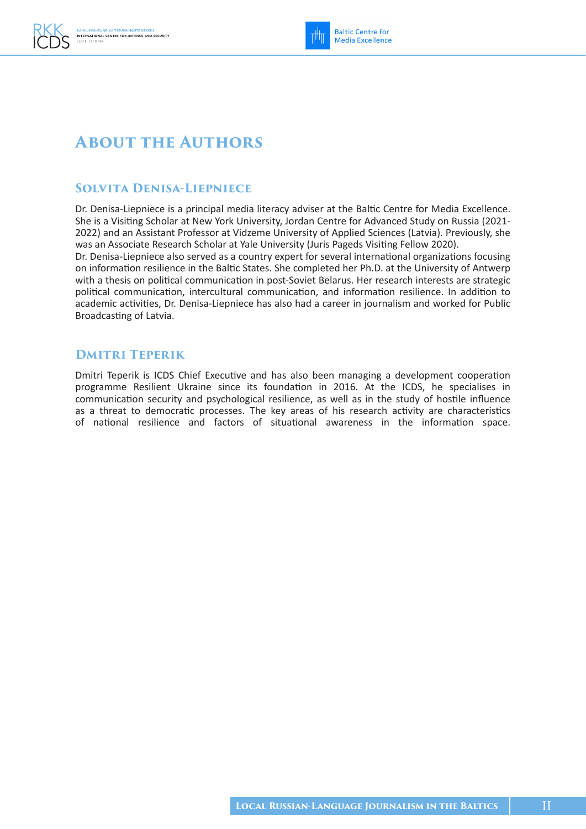### **About the Authors**

#### **Solvita Denisa-Liepniece**

Dr. Denisa-Liepniece is a principal media literacy adviser at the Baltic Centre for Media Excellence. She is a Visiting Scholar at New York University, Jordan Centre for Advanced Study on Russia (2021- 2022) and an Assistant Professor at Vidzeme University of Applied Sciences (Latvia). Previously, she was an Associate Research Scholar at Yale University (Juris Pageds Visiting Fellow 2020).

Dr. Denisa-Liepniece also served as a country expert for several international organizations focusing on information resilience in the Baltic States. She completed her Ph.D. at the University of Antwerp with a thesis on political communication in post-Soviet Belarus. Her research interests are strategic political communication, intercultural communication, and information resilience. In addition to academic activities, Dr. Denisa-Liepniece has also had a career in journalism and worked for Public Broadcasting of Latvia.

#### **Dmitri Teperik**

Dmitri Teperik is ICDS Chief Executive and has also been managing a development cooperation programme Resilient Ukraine since its foundation in 2016. At the ICDS, he specialises in communication security and psychological resilience, as well as in the study of hostile influence as a threat to democratic processes. The key areas of his research activity are characteristics of national resilience and factors of situational awareness in the information space.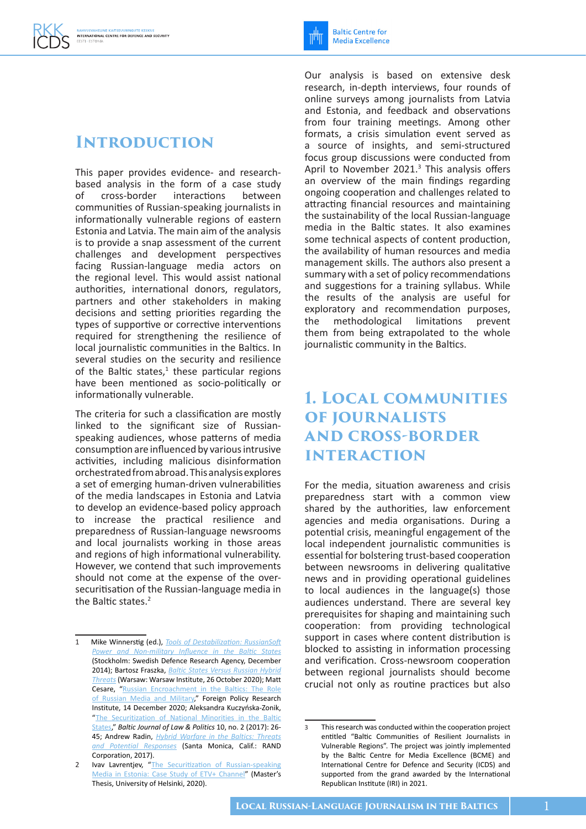### **Introduction**

This paper provides evidence- and researchbased analysis in the form of a case study of cross-border interactions between communities of Russian-speaking journalists in informationally vulnerable regions of eastern Estonia and Latvia. The main aim of the analysis is to provide a snap assessment of the current challenges and development perspectives facing Russian-language media actors on the regional level. This would assist national authorities, international donors, regulators, partners and other stakeholders in making decisions and setting priorities regarding the types of supportive or corrective interventions required for strengthening the resilience of local journalistic communities in the Baltics. In several studies on the security and resilience of the Baltic states, $1$  these particular regions have been mentioned as socio-politically or informationally vulnerable.

The criteria for such a classification are mostly linked to the significant size of Russianspeaking audiences, whose patterns of media consumption are influenced by various intrusive activities, including malicious disinformation orchestrated from abroad. This analysis explores a set of emerging human-driven vulnerabilities of the media landscapes in Estonia and Latvia to develop an evidence-based policy approach to increase the practical resilience and preparedness of Russian-language newsrooms and local journalists working in those areas and regions of high informational vulnerability. However, we contend that such improvements should not come at the expense of the oversecuritisation of the Russian-language media in the Baltic states.<sup>2</sup>

Our analysis is based on extensive desk research, in-depth interviews, four rounds of online surveys among journalists from Latvia and Estonia, and feedback and observations from four training meetings. Among other formats, a crisis simulation event served as a source of insights, and semi-structured focus group discussions were conducted from April to November 2021.<sup>3</sup> This analysis offers an overview of the main findings regarding ongoing cooperation and challenges related to attracting financial resources and maintaining the sustainability of the local Russian-language media in the Baltic states. It also examines some technical aspects of content production, the availability of human resources and media management skills. The authors also present a summary with a set of policy recommendations and suggestions for a training syllabus. While the results of the analysis are useful for exploratory and recommendation purposes,<br>the methodological limitations prevent the methodological limitations them from being extrapolated to the whole journalistic community in the Baltics.

### **1. Local communities of journalists and cross-border interaction**

For the media, situation awareness and crisis preparedness start with a common view shared by the authorities, law enforcement agencies and media organisations. During a potential crisis, meaningful engagement of the local independent journalistic communities is essential for bolstering trust-based cooperation between newsrooms in delivering qualitative news and in providing operational guidelines to local audiences in the language(s) those audiences understand. There are several key prerequisites for shaping and maintaining such cooperation: from providing technological support in cases where content distribution is blocked to assisting in information processing and verification. Cross-newsroom cooperation between regional journalists should become crucial not only as routine practices but also

<sup>1</sup> Mike Winnerstig (ed.), *[Tools of Destabilization: RussianSoft](https://www.foi.se/rest-api/report/FOI-R--3990--SE)  [Power and Non-military Influence in the Baltic States](https://www.foi.se/rest-api/report/FOI-R--3990--SE)* (Stockholm: Swedish Defence Research Agency, December 2014); Bartosz Fraszka, *[Baltic States Versus Russian Hybrid](https://warsawinstitute.org/baltic-states-versus-russian-hybrid-threats/)  [Threats](https://warsawinstitute.org/baltic-states-versus-russian-hybrid-threats/)* (Warsaw: Warsaw Institute, 26 October 2020); Matt Cesare, "Russian Encroachment in the Baltics: The Role [of Russian Media and Military](https://www.fpri.org/article/2020/12/russian-encroachment-in-the-baltics-the-role-of-russian-media-and-military-2/)," Foreign Policy Research Institute, 14 December 2020; Aleksandra Kuczyńska-Zonik, "The Securitization of National Minorities in the Baltic [States](https://www.sciendo.com/article/10.1515/bjlp-2017-0011)," *Baltic Journal of Law & Politics* 10, no. 2 (2017): 26- 45; Andrew Radin, *[Hybrid Warfare in the Baltics: Threats](https://www.rand.org/content/dam/rand/pubs/research_reports/RR1500/RR1577/RAND_RR1577.pdf)  [and Potential Responses](https://www.rand.org/content/dam/rand/pubs/research_reports/RR1500/RR1577/RAND_RR1577.pdf)* (Santa Monica, Calif.: RAND Corporation, 2017).

<sup>2</sup> Ivav Lavrentjev, "The Securitization of Russian-speaking [Media in Estonia: Case Study of ETV+ Channel"](https://helda.helsinki.fi/bitstream/handle/10138/316401/Lavrentjev_Ivan_thesis_2020.pdf?sequence=3&isAllowed=y) (Master's Thesis, University of Helsinki, 2020).

This research was conducted within the cooperation project entitled "Baltic Communities of Resilient Journalists in Vulnerable Regions". The project was jointly implemented by the Baltic Centre for Media Excellence (BCME) and International Centre for Defence and Security (ICDS) and supported from the grand awarded by the International Republican Institute (IRI) in 2021.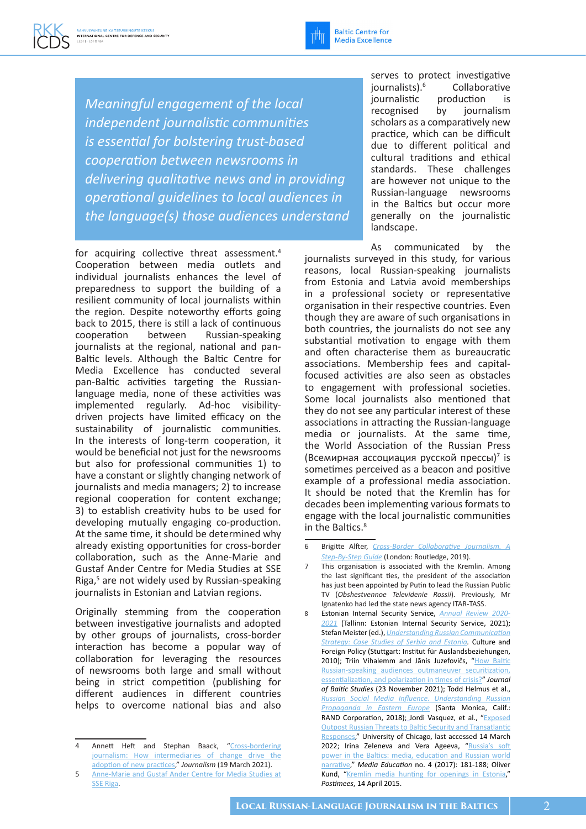

*Meaningful engagement of the local independent journalistic communities is essential for bolstering trust-based cooperation between newsrooms in delivering qualitative news and in providing operational guidelines to local audiences in the language(s) those audiences understand* 

for acquiring collective threat assessment.<sup>4</sup> Cooperation between media outlets and individual journalists enhances the level of preparedness to support the building of a resilient community of local journalists within the region. Despite noteworthy efforts going back to 2015, there is still a lack of continuous cooperation between Russian-speaking journalists at the regional, national and pan-Baltic levels. Although the Baltic Centre for Media Excellence has conducted several pan-Baltic activities targeting the Russianlanguage media, none of these activities was implemented regularly. Ad-hoc visibilitydriven projects have limited efficacy on the sustainability of journalistic communities. In the interests of long-term cooperation, it would be beneficial not just for the newsrooms but also for professional communities 1) to have a constant or slightly changing network of journalists and media managers; 2) to increase regional cooperation for content exchange; 3) to establish creativity hubs to be used for developing mutually engaging co-production. At the same time, it should be determined why already existing opportunities for cross-border collaboration, such as the Anne-Marie and Gustaf Ander Centre for Media Studies at SSE Riga,<sup>5</sup> are not widely used by Russian-speaking journalists in Estonian and Latvian regions.

Originally stemming from the cooperation between investigative journalists and adopted by other groups of journalists, cross-border interaction has become a popular way of collaboration for leveraging the resources of newsrooms both large and small without being in strict competition (publishing for different audiences in different countries helps to overcome national bias and also

serves to protect investigative journalists).<sup>6</sup> Collaborative journalistic production is recognised by journalism scholars as a comparatively new practice, which can be difficult due to different political and cultural traditions and ethical standards. These challenges are however not unique to the Russian-language newsrooms in the Baltics but occur more generally on the journalistic landscape.

As communicated by the journalists surveyed in this study, for various reasons, local Russian-speaking journalists from Estonia and Latvia avoid memberships in a professional society or representative organisation in their respective countries. Even though they are aware of such organisations in both countries, the journalists do not see any substantial motivation to engage with them and often characterise them as bureaucratic associations. Membership fees and capitalfocused activities are also seen as obstacles to engagement with professional societies. Some local journalists also mentioned that they do not see any particular interest of these associations in attracting the Russian-language media or journalists. At the same time, the World Association of the Russian Press (Всемирная ассоциация русской прессы) 7 is sometimes perceived as a beacon and positive example of a professional media association. It should be noted that the Kremlin has for decades been implementing various formats to engage with the local journalistic communities in the Baltics.<sup>8</sup>

Annett Heft and Stephan Baack, "Cross-bordering journalism: How intermediaries of change drive the [adoption of new practices,](https://journals.sagepub.com/doi/10.1177/1464884921999540)" *Journalism* (19 March 2021). 5 [Anne-Marie and Gustaf Ander Centre for Media Studies at](https://mediacentre.sseriga.edu/) 

[SSE Riga](https://mediacentre.sseriga.edu/).

<sup>6</sup> Brigitte Alfter, *[Cross-Border Collaborative Journalism](https://www.taylorfrancis.com/books/mono/10.4324/9780429464409/cross-border-collaborative-journalism-brigitte-alfter). A [Step-By-Step Guide](https://www.taylorfrancis.com/books/mono/10.4324/9780429464409/cross-border-collaborative-journalism-brigitte-alfter)* (London: Routledge, 2019).

This organisation is associated with the Kremlin. Among the last significant ties, the president of the association has just been appointed by Putin to lead the Russian Public TV (*Obshestvennoe Televidenie Rossii*). Previously, Mr Ignatenko had led the state news agency ITAR-TASS.

<sup>8</sup> Estonian Internal Security Service, *[Annual Review 2020-](https://kapo.ee/sites/default/files/content_page_attachments/Annual%20Review%202020-2021.pdf) [2021](https://kapo.ee/sites/default/files/content_page_attachments/Annual%20Review%202020-2021.pdf)* (Tallinn: Estonian Internal Security Service, 2021); Stefan Meister (ed.), *[Understanding Russian Communication](https://www.ssoar.info/ssoar/handle/document/59979)  [Strategy: Case Studies of Serbia and Estonia](https://www.ssoar.info/ssoar/handle/document/59979).* Culture and Foreign Policy (Stuttgart: Institut für Auslandsbeziehungen, 2010); Triin Vihalemm and Jānis Juzefovičs, ["How Baltic](https://www.tandfonline.com/doi/abs/10.1080/01629778.2021.2006728?journalCode=rbal20)  [Russian-speaking audiences outmaneuver securitization,](https://www.tandfonline.com/doi/abs/10.1080/01629778.2021.2006728?journalCode=rbal20)  [essentialization, and polarization in times of crisis?](https://www.tandfonline.com/doi/abs/10.1080/01629778.2021.2006728?journalCode=rbal20)" *Journal of Baltic Studies* (23 November 2021); Todd Helmus et al., *[Russian Social Media Influence. Understanding Russian](https://www.rand.org/content/dam/rand/pubs/research_reports/RR2200/RR2237/RAND_RR2237.pdf)  [Propaganda in Eastern Europe](https://www.rand.org/content/dam/rand/pubs/research_reports/RR2200/RR2237/RAND_RR2237.pdf)* (Santa Monica, Calif.: RAND Corporation, 2018); Jordi Vasquez, et al., "[E](about:blank)xposed [Outpost Russian Threats to Baltic Security and Transatlantic](https://voices.uchicago.edu/euchicago/exposed-outpost-russian-threats-to-baltic-security-and-transatlantic-responses/)  [Responses,](https://voices.uchicago.edu/euchicago/exposed-outpost-russian-threats-to-baltic-security-and-transatlantic-responses/)" University of Chicago, last accessed 14 March 2022; Irina Zeleneva and Vera Ageeva, "[R](about:blank)ussia's soft [power in the Baltics: media, education and Russian world](https://cyberleninka.ru/article/n/russia-s-soft-power-in-the-baltics-media-education-and-russian-world-narrarive/viewer)  [narrative,](https://cyberleninka.ru/article/n/russia-s-soft-power-in-the-baltics-media-education-and-russian-world-narrarive/viewer)" *Media Education* no. 4 (2017): 181-188; Oliver Kund, "[Kremlin](about:blank) [media](https://news.postimees.ee/3156699/kremlin-media-hunting-for-openings-in-estonia) [hunting](https://news.postimees.ee/3156699/kremlin-media-hunting-for-openings-in-estonia) [for](about:blank) [openings in Estonia,](https://news.postimees.ee/3156699/kremlin-media-hunting-for-openings-in-estonia)" *Postimees*, 14 April 2015.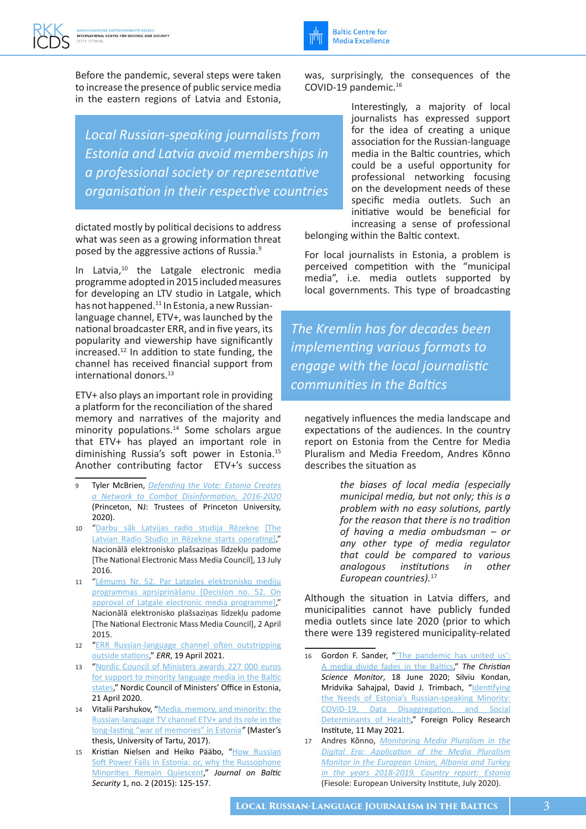Before the pandemic, several steps were taken to increase the presence of public service media in the eastern regions of Latvia and Estonia,

*Local Russian-speaking journalists from Estonia and Latvia avoid memberships in a professional society or representative organisation in their respective countries*

dictated mostly by political decisions to address what was seen as a growing information threat posed by the aggressive actions of Russia.9

In Latvia, $10$  the Latgale electronic media programme adopted in 2015 included measures for developing an LTV studio in Latgale, which has not happened.<sup>11</sup> In Estonia, a new Russianlanguage channel, ETV+, was launched by the national broadcaster ERR, and in five years, its popularity and viewership have significantly increased.12 In addition to state funding, the channel has received financial support from international donors.<sup>13</sup>

ETV+ also plays an important role in providing a platform for the reconciliation of the shared memory and narratives of the majority and minority populations.<sup>14</sup> Some scholars argue that ETV+ has played an important role in diminishing Russia's soft power in Estonia.15 Another contributing factor ETV+'s success

- 9 Tyler McBrien, *[Defending the Vote: Estonia Creates](https://successfulsocieties.princeton.edu/sites/successfulsocieties/files/TM_Estonia_Election_FINAL%20edited_JG.pdf)  [a Network to Combat Disinformation, 2016-2020](https://successfulsocieties.princeton.edu/sites/successfulsocieties/files/TM_Estonia_Election_FINAL%20edited_JG.pdf)* (Princeton, NJ: Trustees of Princeton University, 2020).
- 10 ["Darbu](https://neplpadome.lv/lv/sakums/padome/padomes-sedes/sedes-sadalas/darbu-sak-latvijas-radio-studija-rezekne.html) [sāk](about:blank) [Latvijas radio studija](https://neplpadome.lv/lv/sakums/padome/padomes-sedes/sedes-sadalas/darbu-sak-latvijas-radio-studija-rezekne.html) [R](about:blank)[ē](https://neplpadome.lv/lv/sakums/padome/padomes-sedes/sedes-sadalas/darbu-sak-latvijas-radio-studija-rezekne.html)[zekn](https://successfulsocieties.princeton.edu/sites/successfulsocieties/files/TM_Estonia_Election_FINAL%20edited_JG.pdf)[e](about:blank) [\[](about:blank)The Latvian Radio Studio in Rēzekne starts operating[\]](about:blank)," Nacionālā elektronisko plašsaziņas līdzekļu padome [The National Electronic Mass Media Council], 13 July 2016.
- 11 ["Lēmums Nr.](https://www.neplpadome.lv/lv/assets/documents/Lemumi/02.04.2015._Lemums_52.pdf) [52. Par Latgales](https://www.neplpadome.lv/lv/assets/documents/Lemumi/02.04.2015._Lemums_52.pdf) [elektronisko](about:blank) [mediju](about:blank) [programmas](about:blank) [aprsiprināšanu](about:blank) [\[Decision no. 52. On](https://www.neplpadome.lv/lv/assets/documents/Lemumi/02.04.2015._Lemums_52.pdf)  [approval of Latgale electronic media programme\]](https://www.neplpadome.lv/lv/assets/documents/Lemumi/02.04.2015._Lemums_52.pdf), Nacionālā elektronisko plašsaziņas līdzekļu padome [The National Electronic Mass Media Council], 2 April 2015.
- 12 "ERR Russian-language channel often outstripping [outside stations](https://news.err.ee/1608182701/err-russian-language-channel-often-outstripping-outside-stations)," *ERR*, 19 April 2021.
- 13 "Nordic Council of Ministers awards 227 000 euros [for support to minority language media in the Baltic](https://www.norden.ee/en/about-us/news/item/9305-nordic-council-of-ministers-awards-227-000-euros-for-support-to-minority-language-media-in-the-baltic-states)  [states](https://www.norden.ee/en/about-us/news/item/9305-nordic-council-of-ministers-awards-227-000-euros-for-support-to-minority-language-media-in-the-baltic-states)," Nordic Council of Ministers' Office in Estonia, 21 April 2020.
- 14 Vitalii Parshukov, "Media, memory, and minority: the [Russian-language TV channel ETV+ and its role in the](https://dspace.ut.ee/bitstream/handle/10062/56847/parshukov_vitalii_ma_2017.pdf)  [long-lasting "war of memories" in Estonia](https://dspace.ut.ee/bitstream/handle/10062/56847/parshukov_vitalii_ma_2017.pdf)*"* (Master's thesis, University of Tartu, 2017).
- 15 Kristian Nielsen and Heiko Pääbo, ["H](about:blank)[ow Russian](https://sciendo.com/pdf/10.1515/jobs-2016-0023)  [Soft Power Fails in Estonia: or, why the Russophone](https://sciendo.com/pdf/10.1515/jobs-2016-0023)  [Minorities Remain Quiescent,](https://sciendo.com/pdf/10.1515/jobs-2016-0023)" *Journal on Baltic Security* 1, no. 2 (2015): 125-157.

was, surprisingly, the consequences of the COVID-19 pandemic.16

> Interestingly, a majority of local journalists has expressed support for the idea of creating a unique association for the Russian-language media in the Baltic countries, which could be a useful opportunity for professional networking focusing on the development needs of these specific media outlets. Such an initiative would be beneficial for increasing a sense of professional

belonging within the Baltic context.

**Baltic Centre for Media Excellence** 

For local journalists in Estonia, a problem is perceived competition with the "municipal media", i.e. media outlets supported by local governments. This type of broadcasting

*The Kremlin has for decades been implementing various formats to engage with the local journalistic communities in the Baltics*

negatively influences the media landscape and expectations of the audiences. In the country report on Estonia from the Centre for Media Pluralism and Media Freedom, Andres Kõnno describes the situation as

> *the biases of local media (especially municipal media, but not only; this is a problem with no easy solutions, partly for the reason that there is no tradition of having a media ombudsman – or any other type of media regulator that could be compared to various analogous institutions in other European countries).*<sup>17</sup>

Although the situation in Latvia differs, and municipalities cannot have publicly funded media outlets since late 2020 (prior to which there were 139 registered municipality-related

<sup>16</sup> Gordon F. Sander, "The pandemic has united us': [A media divide fades in the Baltics,](https://www.csmonitor.com/World/Europe/2020/0618/The-pandemic-has-united-us-A-media-divide-fades-in-the-Baltics)" *The Christian Science Monitor*, 18 June 2020; Silviu Kondan, Mridvika Sahajpal, David J. Trimbach, "[Identifying](https://www.fpri.org/article/2021/05/identifying-the-needs-of-estonias-russian-speaking-minority-covid-19-data-disaggregation-and-social-determinants-of-health/)  [the Needs of Estonia's Russian-speaking Minority:](https://www.fpri.org/article/2021/05/identifying-the-needs-of-estonias-russian-speaking-minority-covid-19-data-disaggregation-and-social-determinants-of-health/)  [COVID-19, Data Disaggregation, and Social](https://www.fpri.org/article/2021/05/identifying-the-needs-of-estonias-russian-speaking-minority-covid-19-data-disaggregation-and-social-determinants-of-health/)  [Determinants of Health,](https://www.fpri.org/article/2021/05/identifying-the-needs-of-estonias-russian-speaking-minority-covid-19-data-disaggregation-and-social-determinants-of-health/)" Foreign Policy Research Institute, 11 May 2021.

<sup>17</sup> Andres Kõnno, *[Monitoring Media Pluralism in the](http://doi.org/10.2870/748092)  [Digital Era: Application of the Media Pluralism](http://doi.org/10.2870/748092)  [Monitor in the European Union, Albania and Turkey](http://doi.org/10.2870/748092)  [in the years 2018-2019. Country report: Estonia](http://doi.org/10.2870/748092)* (Fiesole: European University Institute, July 2020).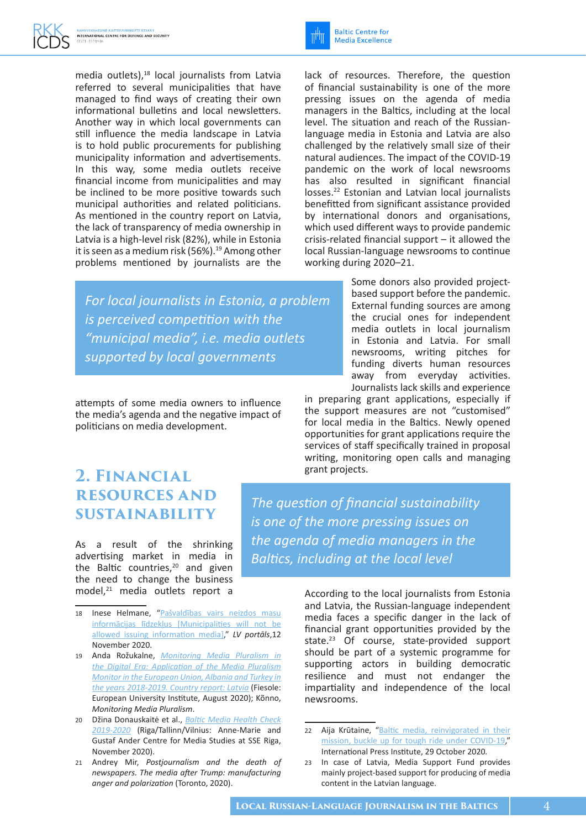media outlets),<sup>18</sup> local journalists from Latvia referred to several municipalities that have managed to find ways of creating their own informational bulletins and local newsletters. Another way in which local governments can still influence the media landscape in Latvia is to hold public procurements for publishing municipality information and advertisements. In this way, some media outlets receive financial income from municipalities and may be inclined to be more positive towards such municipal authorities and related politicians. As mentioned in the country report on Latvia, the lack of transparency of media ownership in Latvia is a high-level risk (82%), while in Estonia it is seen as a medium risk (56%).<sup>19</sup> Among other problems mentioned by journalists are the

*For local journalists in Estonia, a problem is perceived competition with the "municipal media", i.e. media outlets supported by local governments*

attempts of some media owners to influence the media's agenda and the negative impact of politicians on media development.

lack of resources. Therefore, the question of financial sustainability is one of the more pressing issues on the agenda of media managers in the Baltics, including at the local level. The situation and reach of the Russianlanguage media in Estonia and Latvia are also challenged by the relatively small size of their natural audiences. The impact of the COVID-19 pandemic on the work of local newsrooms has also resulted in significant financial losses.22 Estonian and Latvian local journalists benefitted from significant assistance provided by international donors and organisations, which used different ways to provide pandemic crisis-related financial support – it allowed the local Russian-language newsrooms to continue working during 2020–21.

> Some donors also provided projectbased support before the pandemic. External funding sources are among the crucial ones for independent media outlets in local journalism in Estonia and Latvia. For small newsrooms, writing pitches for funding diverts human resources away from everyday activities. Journalists lack skills and experience

in preparing grant applications, especially if the support measures are not "customised" for local media in the Baltics. Newly opened opportunities for grant applications require the services of staff specifically trained in proposal writing, monitoring open calls and managing grant projects.

### **2. Financial resources and sustainability**

As a result of the shrinking advertising market in media in the Baltic countries, $20$  and given the need to change the business model,<sup>21</sup> media outlets report a

*the agenda of media managers in the Baltics, including at the local level*

*The question of financial sustainability is one of the more pressing issues on* 

- 18 Inese Helm[an](about:blank)e, "[Pašvaldības](https://lvportals.lv/skaidrojumi/322061-pasvaldibas-vairs-neizdos-masu-informacijas-lidzeklus-2020) [vairs](about:blank) [neizdos](about:blank) [masu](about:blank) [informācijas](about:blank) [līdzekļus](about:blank) [\[](about:blank)[Municipalities will not be](https://lvportals.lv/skaidrojumi/322061-pasvaldibas-vairs-neizdos-masu-informacijas-lidzeklus-2020)  [allowed issuing information media](https://lvportals.lv/skaidrojumi/322061-pasvaldibas-vairs-neizdos-masu-informacijas-lidzeklus-2020)[\]](about:blank)," *LV portāls*,12 November 2020.
- 19 Anda Rožukalne, *[Monitoring Media Pluralism in](https://op.europa.eu/en/publication-detail/-/publication/7d8bee8e-dd0c-11ea-adf7-01aa75ed71a1/language-en/format-PDF/source-252900228)  [the Digital Era: Application of the Media Pluralism](https://op.europa.eu/en/publication-detail/-/publication/7d8bee8e-dd0c-11ea-adf7-01aa75ed71a1/language-en/format-PDF/source-252900228)  [Monitor in the European Union, Albania and Turkey in](https://op.europa.eu/en/publication-detail/-/publication/7d8bee8e-dd0c-11ea-adf7-01aa75ed71a1/language-en/format-PDF/source-252900228)  [the years 2018-2019. Country report: Latvia](https://op.europa.eu/en/publication-detail/-/publication/7d8bee8e-dd0c-11ea-adf7-01aa75ed71a1/language-en/format-PDF/source-252900228)* (Fiesole: European University Institute, August 2020); Kõnno, *Monitoring Media Pluralism*.
- 20 Džina Donauskaitė et al., *[Baltic Media Health Check](https://www.sseriga.edu/sites/default/files/2020-11/Baltic_Media_Health_Check_2019_2020.pdf)  [2019-2020](https://www.sseriga.edu/sites/default/files/2020-11/Baltic_Media_Health_Check_2019_2020.pdf)* (Riga/Tallinn/Vilnius: Anne-Marie and Gustaf Ander Centre for Media Studies at SSE Riga, November 2020).
- 21 Andrey Mir, *Postjournalism and the death of newspapers. The media after Trump: manufacturing anger and polarization* (Toronto, 2020).

According to the local journalists from Estonia and Latvia, the Russian-language independent media faces a specific danger in the lack of financial grant opportunities provided by the state.<sup>23</sup> Of course, state-provided support should be part of a systemic programme for supporting actors in building democratic resilience and must not endanger the impartiality and independence of the local newsrooms.

<sup>22</sup> Aija Krūtaine, "Baltic media, reinvigorated in their [mission, buckle up for tough ride under COVID-19](https://ipi.media/baltic-media-reinvigorated-in-their-mission-buckle-up-for-tough-ride-under-covid-19/)," International Press Institute, 29 October 2020*.*

<sup>23</sup> In case of Latvia, Media Support Fund provides mainly project-based support for producing of media content in the Latvian language.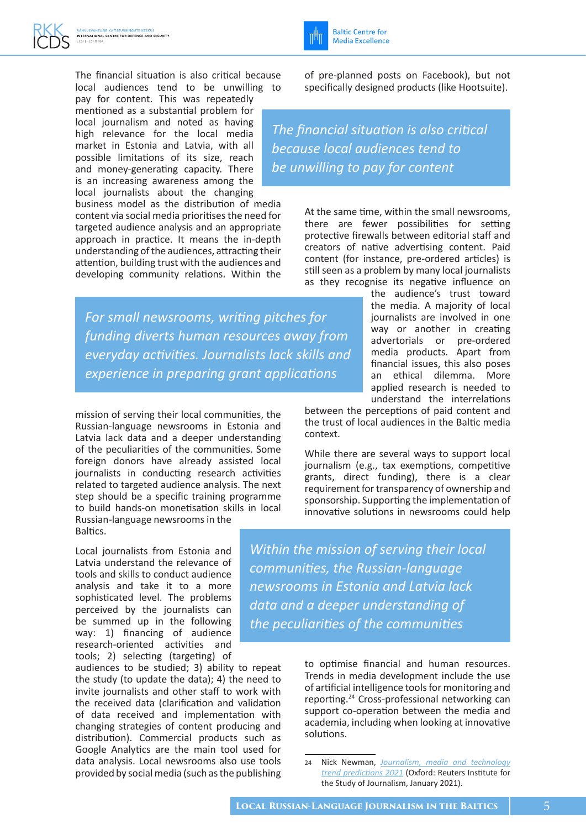The financial situation is also critical because local audiences tend to be unwilling to

pay for content. This was repeatedly mentioned as a substantial problem for local journalism and noted as having high relevance for the local media market in Estonia and Latvia, with all possible limitations of its size, reach and money-generating capacity. There is an increasing awareness among the local journalists about the changing

business model as the distribution of media content via social media prioritises the need for targeted audience analysis and an appropriate approach in practice. It means the in-depth understanding of the audiences, attracting their attention, building trust with the audiences and developing community relations. Within the

of pre-planned posts on Facebook), but not

**Baltic Centre for Media Excellence** 

specifically designed products (like Hootsuite).

*The financial situation is also critical because local audiences tend to be unwilling to pay for content*

> At the same time, within the small newsrooms, there are fewer possibilities for setting protective firewalls between editorial staff and creators of native advertising content. Paid content (for instance, pre-ordered articles) is still seen as a problem by many local journalists as they recognise its negative influence on

*For small newsrooms, writing pitches for funding diverts human resources away from everyday activities. Journalists lack skills and experience in preparing grant applications*

mission of serving their local communities, the Russian-language newsrooms in Estonia and Latvia lack data and a deeper understanding of the peculiarities of the communities. Some foreign donors have already assisted local journalists in conducting research activities related to targeted audience analysis. The next step should be a specific training programme to build hands-on monetisation skills in local Russian-language newsrooms in the Baltics.

Local journalists from Estonia and Latvia understand the relevance of tools and skills to conduct audience analysis and take it to a more sophisticated level. The problems perceived by the journalists can be summed up in the following way: 1) financing of audience research-oriented activities and tools; 2) selecting (targeting) of

audiences to be studied; 3) ability to repeat the study (to update the data); 4) the need to invite journalists and other staff to work with the received data (clarification and validation of data received and implementation with changing strategies of content producing and distribution). Commercial products such as Google Analytics are the main tool used for data analysis. Local newsrooms also use tools provided by social media (such as the publishing

the audience's trust toward the media. A majority of local journalists are involved in one way or another in creating advertorials or pre-ordered media products. Apart from financial issues, this also poses an ethical dilemma. More applied research is needed to understand the interrelations

between the perceptions of paid content and the trust of local audiences in the Baltic media context.

While there are several ways to support local journalism (e.g., tax exemptions, competitive grants, direct funding), there is a clear requirement for transparency of ownership and sponsorship. Supporting the implementation of innovative solutions in newsrooms could help

*Within the mission of serving their local communities, the Russian-language newsrooms in Estonia and Latvia lack data and a deeper understanding of the peculiarities of the communities*

> to optimise financial and human resources. Trends in media development include the use of artificial intelligence tools for monitoring and reporting.24 Cross-professional networking can support co-operation between the media and academia, including when looking at innovative solutions.

<sup>24</sup> Nick Newman, *[Journalism, media and technology](https://reutersinstitute.politics.ox.ac.uk/sites/default/files/2021-01/Newman_Predictions_2021_FINAL.pdf)  [trend predictions](https://reutersinstitute.politics.ox.ac.uk/sites/default/files/2021-01/Newman_Predictions_2021_FINAL.pdf) [2021](about:blank)* (Oxford: Reuters Institute for the Study of Journalism, January 2021).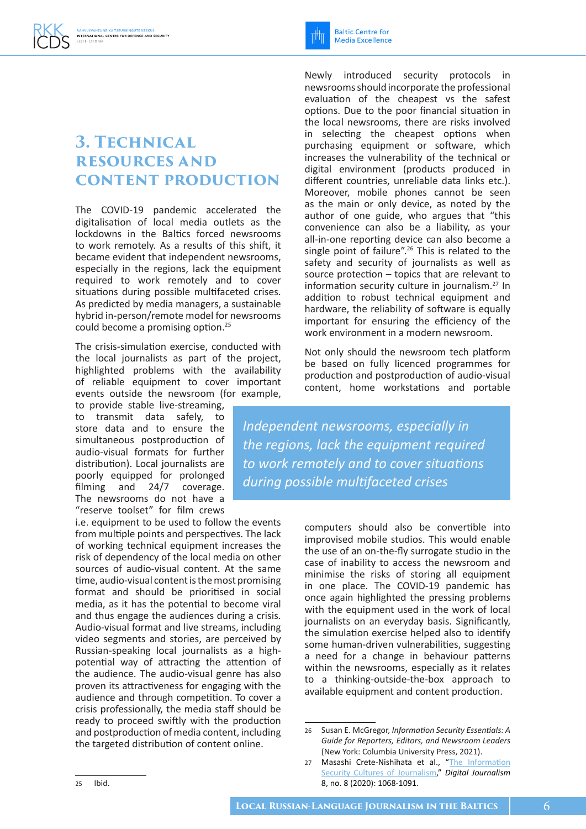### **3. Technical resources and content production**

The COVID-19 pandemic accelerated the digitalisation of local media outlets as the lockdowns in the Baltics forced newsrooms to work remotely. As a results of this shift, it became evident that independent newsrooms, especially in the regions, lack the equipment required to work remotely and to cover situations during possible multifaceted crises. As predicted by media managers, a sustainable hybrid in-person/remote model for newsrooms could become a promising option.<sup>25</sup>

The crisis-simulation exercise, conducted with the local journalists as part of the project, highlighted problems with the availability of reliable equipment to cover important events outside the newsroom (for example,

to provide stable live-streaming, to transmit data safely, to store data and to ensure the simultaneous postproduction of audio-visual formats for further distribution). Local journalists are poorly equipped for prolonged filming and 24/7 coverage. The newsrooms do not have a "reserve toolset" for film crews

i.e. equipment to be used to follow the events from multiple points and perspectives. The lack of working technical equipment increases the risk of dependency of the local media on other sources of audio-visual content. At the same time, audio-visual content is the most promising format and should be prioritised in social media, as it has the potential to become viral and thus engage the audiences during a crisis. Audio-visual format and live streams, including video segments and stories, are perceived by Russian-speaking local journalists as a highpotential way of attracting the attention of the audience. The audio-visual genre has also proven its attractiveness for engaging with the audience and through competition. To cover a crisis professionally, the media staff should be ready to proceed swiftly with the production and postproduction of media content, including the targeted distribution of content online.

Newly introduced security protocols in newsrooms should incorporate the professional evaluation of the cheapest vs the safest options. Due to the poor financial situation in the local newsrooms, there are risks involved in selecting the cheapest options when purchasing equipment or software, which increases the vulnerability of the technical or digital environment (products produced in different countries, unreliable data links etc.). Moreover, mobile phones cannot be seen as the main or only device, as noted by the author of one guide, who argues that "this convenience can also be a liability, as your all-in-one reporting device can also become a single point of failure".<sup>26</sup> This is related to the safety and security of journalists as well as source protection – topics that are relevant to information security culture in journalism.27 In addition to robust technical equipment and hardware, the reliability of software is equally important for ensuring the efficiency of the work environment in a modern newsroom.

**Baltic Centre for** 

**Media Excellence** 

Not only should the newsroom tech platform be based on fully licenced programmes for production and postproduction of audio-visual content, home workstations and portable

*Independent newsrooms, especially in the regions, lack the equipment required to work remotely and to cover situations during possible multifaceted crises*

> computers should also be convertible into improvised mobile studios. This would enable the use of an on-the-fly surrogate studio in the case of inability to access the newsroom and minimise the risks of storing all equipment in one place. The COVID-19 pandemic has once again highlighted the pressing problems with the equipment used in the work of local journalists on an everyday basis. Significantly, the simulation exercise helped also to identify some human-driven vulnerabilities, suggesting a need for a change in behaviour patterns within the newsrooms, especially as it relates to a thinking-outside-the-box approach to available equipment and content production.

<sup>26</sup> Susan E. McGregor, *Information Security Essentials: A Guide for Reporters, Editors, and Newsroom Leaders* (New York: Columbia University Press, 2021).

<sup>27</sup> Masashi Crete-Nishihata et al., "The Information [Security Cultures of Journalism](https://www.tandfonline.com/doi/full/10.1080/21670811.2020.1777882)," *Digital Journalism* 8, no. 8 (2020): 1068-1091.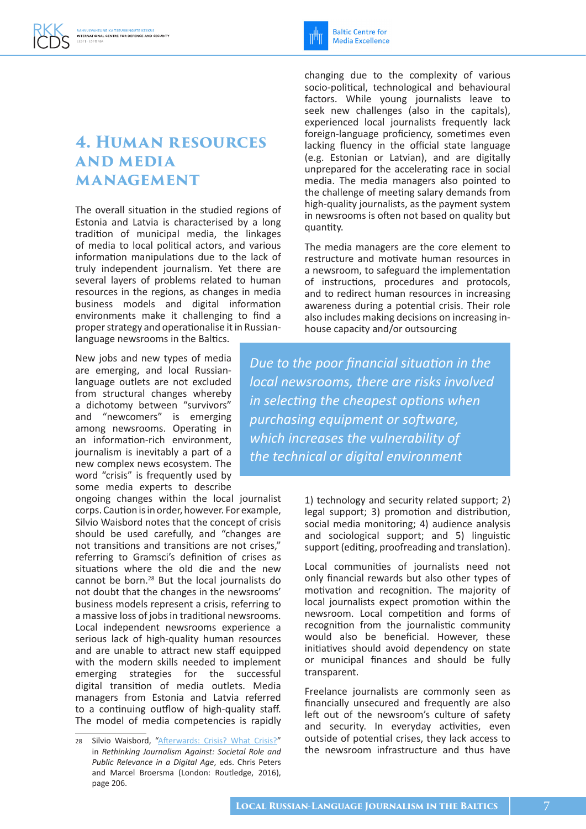#### **4. Human resources and media MANAGEMENT**

The overall situation in the studied regions of Estonia and Latvia is characterised by a long tradition of municipal media, the linkages of media to local political actors, and various information manipulations due to the lack of truly independent journalism. Yet there are several layers of problems related to human resources in the regions, as changes in media business models and digital information environments make it challenging to find a proper strategy and operationalise it in Russianlanguage newsrooms in the Baltics.

New jobs and new types of media are emerging, and local Russianlanguage outlets are not excluded from structural changes whereby a dichotomy between "survivors" and "newcomers" is emerging among newsrooms. Operating in an information-rich environment, journalism is inevitably a part of a new complex news ecosystem. The word "crisis" is frequently used by some media experts to describe

ongoing changes within the local journalist corps. Caution is in order, however. For example, Silvio Waisbord notes that the concept of crisis should be used carefully, and "changes are not transitions and transitions are not crises," referring to Gramsci's definition of crises as situations where the old die and the new cannot be born.28 But the local journalists do not doubt that the changes in the newsrooms' business models represent a crisis, referring to a massive loss of jobs in traditional newsrooms. Local independent newsrooms experience a serious lack of high-quality human resources and are unable to attract new staff equipped with the modern skills needed to implement emerging strategies for the successful digital transition of media outlets. Media managers from Estonia and Latvia referred to a continuing outflow of high-quality staff. The model of media competencies is rapidly

**Baltic Centre for Media Excellence** 

changing due to the complexity of various socio-political, technological and behavioural factors. While young journalists leave to seek new challenges (also in the capitals), experienced local journalists frequently lack foreign-language proficiency, sometimes even lacking fluency in the official state language (e.g. Estonian or Latvian), and are digitally unprepared for the accelerating race in social media. The media managers also pointed to the challenge of meeting salary demands from high-quality journalists, as the payment system in newsrooms is often not based on quality but quantity.

The media managers are the core element to restructure and motivate human resources in a newsroom, to safeguard the implementation of instructions, procedures and protocols, and to redirect human resources in increasing awareness during a potential crisis. Their role also includes making decisions on increasing inhouse capacity and/or outsourcing

*Due to the poor financial situation in the local newsrooms, there are risks involved in selecting the cheapest options when purchasing equipment or software, which increases the vulnerability of the technical or digital environment*

> 1) technology and security related support; 2) legal support; 3) promotion and distribution, social media monitoring; 4) audience analysis and sociological support; and 5) linguistic support (editing, proofreading and translation).

> Local communities of journalists need not only financial rewards but also other types of motivation and recognition. The majority of local journalists expect promotion within the newsroom. Local competition and forms of recognition from the journalistic community would also be beneficial. However, these initiatives should avoid dependency on state or municipal finances and should be fully transparent.

> Freelance journalists are commonly seen as financially unsecured and frequently are also left out of the newsroom's culture of safety and security. In everyday activities, even outside of potential crises, they lack access to the newsroom infrastructure and thus have

<sup>28</sup> Silvio Waisbord, ["Afterwards: Crisis? What Crisis?"](https://www.taylorfrancis.com/books/edit/10.4324/9781315716244/rethinking-journalism-chris-peters-marcel-broersma) in *Rethinking Journalism Against: Societal Role and Public Relevance in a Digital Age*, eds. Chris Peters and Marcel Broersma (London: Routledge, 2016), page 206.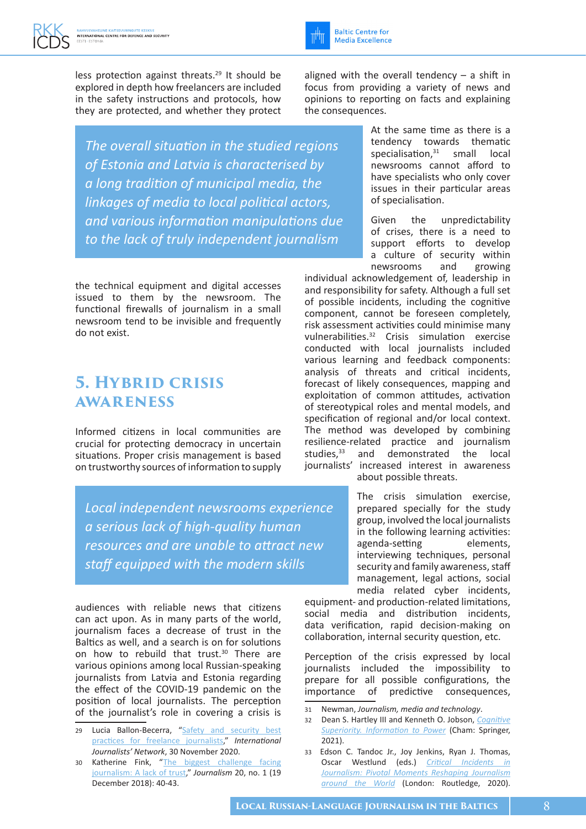

*The overall situation in the studied regions of Estonia and Latvia is characterised by a long tradition of municipal media, the linkages of media to local political actors, and various information manipulations due to the lack of truly independent journalism*

the technical equipment and digital accesses issued to them by the newsroom. The functional firewalls of journalism in a small newsroom tend to be invisible and frequently do not exist.

#### **5. Hybrid crisis awareness**

Informed citizens in local communities are crucial for protecting democracy in uncertain situations. Proper crisis management is based on trustworthy sources of information to supply

*Local independent newsrooms experience a serious lack of high-quality human resources and are unable to attract new staff equipped with the modern skills*

audiences with reliable news that citizens can act upon. As in many parts of the world, journalism faces a decrease of trust in the Baltics as well, and a search is on for solutions on how to rebuild that trust.<sup>30</sup> There are various opinions among local Russian-speaking journalists from Latvia and Estonia regarding the effect of the COVID-19 pandemic on the position of local journalists. The perception of the journalist's role in covering a crisis is

- 29 Lucia Ballon-Becerra, "Safety and security best [practices for freelance journalists,](https://ijnet.org/en/story/safety-and-security-best-practices-freelance-journalists)" *International Journalists' Network*, 30 November 2020.
- 30 Katherine Fink, "[The biggest challenge facing](https://journals.sagepub.com/doi/10.1177/1464884918807069)  [journalism: A lack of trust,](https://journals.sagepub.com/doi/10.1177/1464884918807069)" *Journalism* 20, no. 1 (19 December 2018): 40-43.

aligned with the overall tendency  $-$  a shift in focus from providing a variety of news and opinions to reporting on facts and explaining the consequences.

**Baltic Centre for Media Excellence** 

> At the same time as there is a tendency towards thematic specialisation,<sup>31</sup> small local newsrooms cannot afford to have specialists who only cover issues in their particular areas of specialisation.

> Given the unpredictability of crises, there is a need to support efforts to develop a culture of security within<br>newsrooms and growing newsrooms and growing

individual acknowledgement of, leadership in and responsibility for safety. Although a full set of possible incidents, including the cognitive component, cannot be foreseen completely, risk assessment activities could minimise many vulnerabilities.32 Crisis simulation exercise conducted with local journalists included various learning and feedback components: analysis of threats and critical incidents, forecast of likely consequences, mapping and exploitation of common attitudes, activation of stereotypical roles and mental models, and specification of regional and/or local context. The method was developed by combining resilience-related practice and journalism studies,<sup>33</sup> and demonstrated the local journalists' increased interest in awareness about possible threats.

> The crisis simulation exercise, prepared specially for the study group, involved the local journalists in the following learning activities: agenda-setting elements, interviewing techniques, personal security and family awareness, staff management, legal actions, social media related cyber incidents,

equipment- and production-related limitations, social media and distribution incidents, data verification, rapid decision-making on collaboration, internal security question, etc.

Perception of the crisis expressed by local journalists included the impossibility to prepare for all possible configurations, the importance of predictive consequences,

- 31 Newman, *Journalism, media and technology*.
- 32 Dean S. Hartley III and Kenneth O. Jobson, *[Cognitive](https://link.springer.com/book/10.1007/978-3-030-60184-3)  [Superiority. Information to](https://link.springer.com/book/10.1007/978-3-030-60184-3) [Power](about:blank)* (Cham: Springer, 2021).
- 33 Edson C. Tandoc Jr., Joy Jenkins, Ryan J. Thomas, Oscar Westlund (eds.) *[Critical Incidents in](https://www.taylorfrancis.com/books/edit/10.4324/9781003019688/critical-incidents-journalism-edson-tandoc-joy-jenkins-ryan-thomas-oscar-westlund)  [Journalism: Pivotal Moments Reshaping Journalism](https://www.taylorfrancis.com/books/edit/10.4324/9781003019688/critical-incidents-journalism-edson-tandoc-joy-jenkins-ryan-thomas-oscar-westlund)  [around the World](https://www.taylorfrancis.com/books/edit/10.4324/9781003019688/critical-incidents-journalism-edson-tandoc-joy-jenkins-ryan-thomas-oscar-westlund)* (London: Routledge, 2020).

**LOCAL RUSSIAN-LANGUAGE JOURNALISM IN THE BALTICS**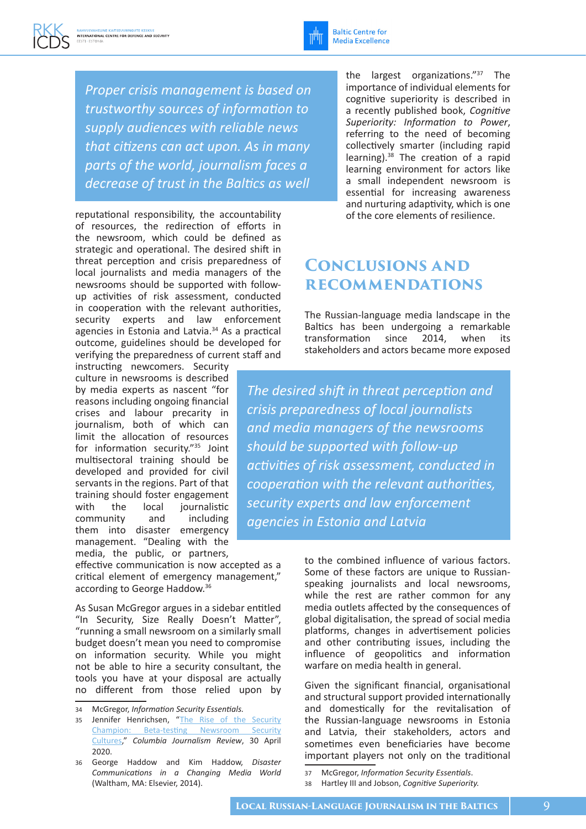

*Proper crisis management is based on trustworthy sources of information to supply audiences with reliable news that citizens can act upon. As in many parts of the world, journalism faces a decrease of trust in the Baltics as well*

reputational responsibility, the accountability of resources, the redirection of efforts in the newsroom, which could be defined as strategic and operational. The desired shift in threat perception and crisis preparedness of local journalists and media managers of the newsrooms should be supported with followup activities of risk assessment, conducted in cooperation with the relevant authorities, security experts and law enforcement agencies in Estonia and Latvia.34 As a practical outcome, guidelines should be developed for verifying the preparedness of current staff and

instructing newcomers. Security culture in newsrooms is described by media experts as nascent "for reasons including ongoing financial crises and labour precarity in journalism, both of which can limit the allocation of resources for information security."35 Joint multisectoral training should be developed and provided for civil servants in the regions. Part of that training should foster engagement with the local journalistic community and including them into disaster emergency management. "Dealing with the media, the public, or partners,

effective communication is now accepted as a critical element of emergency management," according to George Haddow.36

As Susan McGregor argues in a sidebar entitled "In Security, Size Really Doesn't Matter", "running a small newsroom on a similarly small budget doesn't mean you need to compromise on information security. While you might not be able to hire a security consultant, the tools you have at your disposal are actually no different from those relied upon by

- 35 Jennifer Henrichsen, "The Rise of the Security [Champion: Beta-testing](https://www.cjr.org/tow_center_reports/security-cultures-champions.php) [Newsroom](about:blank) [Security](https://www.cjr.org/tow_center_reports/security-cultures-champions.php)  [Cultures](https://www.cjr.org/tow_center_reports/security-cultures-champions.php)," *Columbia Journalism Review*, 30 April 2020.
- 36 George Haddow and Kim Haddow, *Disaster Communications in a Changing Media World* (Waltham, MA: Elsevier, 2014).

the largest organizations."37 The importance of individual elements for cognitive superiority is described in a recently published book, *Cognitive Superiority: Information to Power*, referring to the need of becoming collectively smarter (including rapid learning).<sup>38</sup> The creation of a rapid learning environment for actors like a small independent newsroom is essential for increasing awareness and nurturing adaptivity, which is one of the core elements of resilience.

### **Conclusions and recommendations**

The Russian-language media landscape in the Baltics has been undergoing a remarkable transformation since 2014, when its stakeholders and actors became more exposed

*The desired shift in threat perception and crisis preparedness of local journalists and media managers of the newsrooms should be supported with follow-up activities of risk assessment, conducted in cooperation with the relevant authorities, security experts and law enforcement agencies in Estonia and Latvia*

> to the combined influence of various factors. Some of these factors are unique to Russianspeaking journalists and local newsrooms, while the rest are rather common for any media outlets affected by the consequences of global digitalisation, the spread of social media platforms, changes in advertisement policies and other contributing issues, including the influence of geopolitics and information warfare on media health in general.

> Given the significant financial, organisational and structural support provided internationally and domestically for the revitalisation of the Russian-language newsrooms in Estonia and Latvia, their stakeholders, actors and sometimes even beneficiaries have become important players not only on the traditional

<sup>34</sup> McGregor, *Information Security Essentials.*

<sup>37</sup> McGregor, *Information Security Essentials*.

<sup>38</sup> Hartley III and Jobson, *Cognitive Superiority.*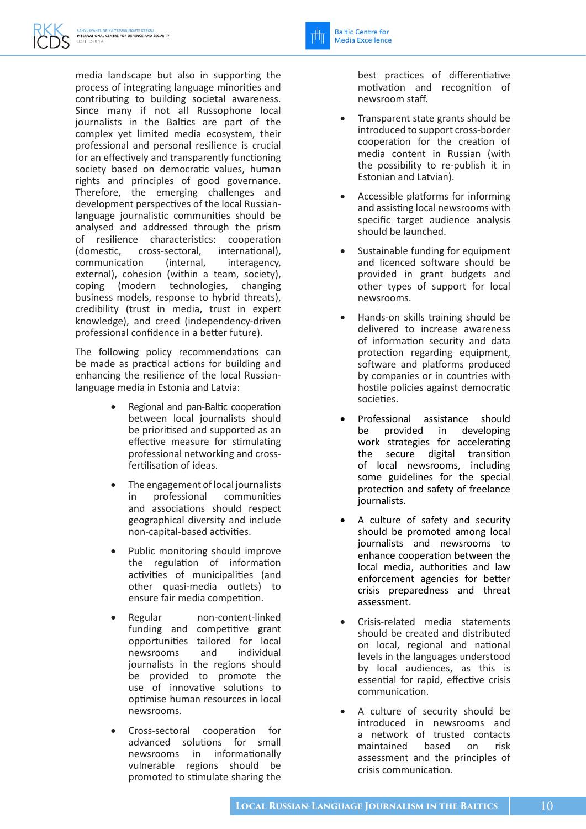media landscape but also in supporting the process of integrating language minorities and contributing to building societal awareness. Since many if not all Russophone local journalists in the Baltics are part of the complex yet limited media ecosystem, their professional and personal resilience is crucial for an effectively and transparently functioning society based on democratic values, human rights and principles of good governance. Therefore, the emerging challenges and development perspectives of the local Russianlanguage journalistic communities should be analysed and addressed through the prism of resilience characteristics: cooperation (domestic, cross-sectoral, international), communication (internal, interagency, external), cohesion (within a team, society), coping (modern technologies, changing business models, response to hybrid threats), credibility (trust in media, trust in expert knowledge), and creed (independency-driven professional confidence in a better future).

The following policy recommendations can be made as practical actions for building and enhancing the resilience of the local Russianlanguage media in Estonia and Latvia:

- Regional and pan-Baltic cooperation between local journalists should be prioritised and supported as an effective measure for stimulating professional networking and crossfertilisation of ideas.
- The engagement of local journalists in professional communities and associations should respect geographical diversity and include non-capital-based activities.
- Public monitoring should improve the regulation of information activities of municipalities (and other quasi-media outlets) to ensure fair media competition.
- Regular non-content-linked funding and competitive grant opportunities tailored for local newsrooms and individual journalists in the regions should be provided to promote the use of innovative solutions to optimise human resources in local newsrooms.
- Cross-sectoral cooperation for advanced solutions for small newsrooms in informationally vulnerable regions should be promoted to stimulate sharing the

best practices of differentiative motivation and recognition of newsroom staff.

- Transparent state grants should be introduced to support cross-border cooperation for the creation of media content in Russian (with the possibility to re-publish it in Estonian and Latvian).
- Accessible platforms for informing and assisting local newsrooms with specific target audience analysis should be launched.
- Sustainable funding for equipment and licenced software should be provided in grant budgets and other types of support for local newsrooms.
- Hands-on skills training should be delivered to increase awareness of information security and data protection regarding equipment, software and platforms produced by companies or in countries with hostile policies against democratic societies.
- Professional assistance should be provided in developing work strategies for accelerating the secure digital transition of local newsrooms, including some guidelines for the special protection and safety of freelance journalists.
- A culture of safety and security should be promoted among local journalists and newsrooms to enhance cooperation between the local media, authorities and law enforcement agencies for better crisis preparedness and threat assessment.
- Crisis-related media statements should be created and distributed on local, regional and national levels in the languages understood by local audiences, as this is essential for rapid, effective crisis communication.
- A culture of security should be introduced in newsrooms and a network of trusted contacts maintained based on risk assessment and the principles of crisis communication.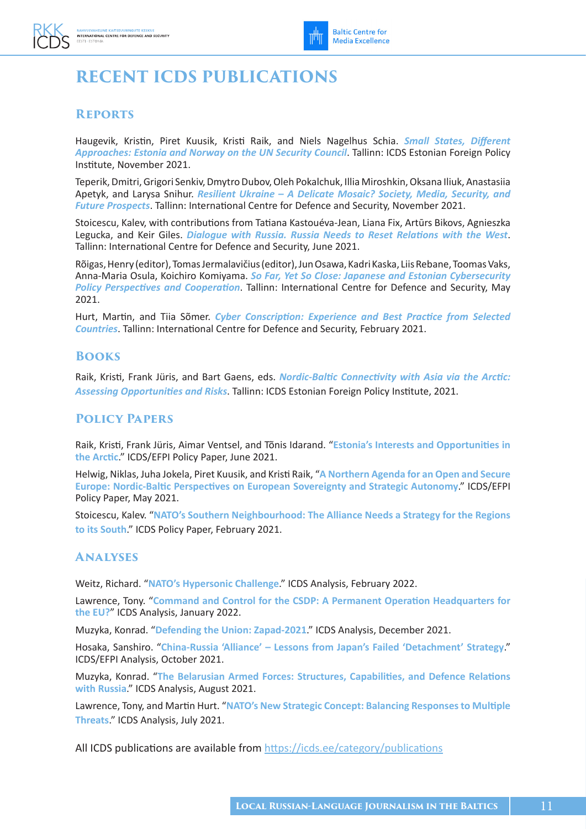## **RECENT ICDS PUBLICATIONS**

#### **Reports**

Haugevik, Kristin, Piret Kuusik, Kristi Raik, and Niels Nagelhus Schia. *[Small States, Different](https://icds.ee/en/small-states-different-approaches-estonia-and-norway-on-the-un-security-council/)  [Approaches: Estonia and Norway on the UN Security Council](https://icds.ee/en/small-states-different-approaches-estonia-and-norway-on-the-un-security-council/)*. Tallinn: ICDS Estonian Foreign Policy Institute, November 2021.

Teperik, Dmitri, Grigori Senkiv, Dmytro Dubov, Oleh Pokalchuk, Illia Miroshkin, Oksana Iliuk, Anastasiia Apetyk, and Larysa Snihur. *[Resilient Ukraine – A Delicate Mosaic? Society, Media, Security, and](https://icds.ee/en/resilient-ukraine-a-delicate-mosaic-society-media-security-and-future-prospects/)  [Future Prospects](https://icds.ee/en/resilient-ukraine-a-delicate-mosaic-society-media-security-and-future-prospects/)*. Tallinn: International Centre for Defence and Security, November 2021.

Stoicescu, Kalev, with contributions from Tatiana Kastouéva-Jean, Liana Fix, Artūrs Bikovs, Agnieszka Legucka, and Keir Giles. *[Dialogue with Russia. Russia Needs to Reset Relations with the West](https://icds.ee/en/dialogue-with-russia/)*. Tallinn: International Centre for Defence and Security, June 2021.

Rõigas, Henry (editor), Tomas Jermalavičius (editor), Jun Osawa, Kadri Kaska, Liis Rebane, Toomas Vaks, Anna-Maria Osula, Koichiro Komiyama. *[So Far, Yet So Close: Japanese and Estonian Cybersecurity](https://icds.ee/en/so-far-yet-so-close-japanese-and-estonian-cybersecurity-policy-perspectives-and-cooperation-2/)  [Policy Perspectives and Cooperation](https://icds.ee/en/so-far-yet-so-close-japanese-and-estonian-cybersecurity-policy-perspectives-and-cooperation-2/)*. Tallinn: International Centre for Defence and Security, May 2021.

Hurt, Martin, and Tiia Sõmer. *[Cyber Conscription: Experience and Best Practice from Selected](https://icds.ee/en/cyber-conscription-experience-and-best-practice-from-selected-countries/)  [Countries](https://icds.ee/en/cyber-conscription-experience-and-best-practice-from-selected-countries/)*. Tallinn: International Centre for Defence and Security, February 2021.

#### **Books**

Raik, Kristi, Frank Jüris, and Bart Gaens, eds. *[Nordic-Baltic Connectivity with Asia via the Arctic:](https://icds.ee/en/nordic-baltic-connectivity-with-asia-via-the-arctic/)  [Assessing Opportunities and Risks](https://icds.ee/en/nordic-baltic-connectivity-with-asia-via-the-arctic/)*. Tallinn: ICDS Estonian Foreign Policy Institute, 2021.

#### **Policy Papers**

Raik, Kristi, Frank Jüris, Aimar Ventsel, and Tõnis Idarand. "**[Estonia's Interests and Opportunities in](https://icds.ee/en/estonias-interests-and-opportunities-in-the-arctic/)  [the Arctic](https://icds.ee/en/estonias-interests-and-opportunities-in-the-arctic/)**." ICDS/EFPI Policy Paper, June 2021.

Helwig, Niklas, Juha Jokela, Piret Kuusik, and Kristi Raik, "**[A Northern Agenda for an Open and Secure](https://icds.ee/en/a-northern-agenda-for-an-open-and-secure-europe/)  [Europe: Nordic-Baltic Perspectives on European Sovereignty and Strategic Autonomy](https://icds.ee/en/a-northern-agenda-for-an-open-and-secure-europe/)**." ICDS/EFPI Policy Paper, May 2021.

Stoicescu, Kalev. "**[NATO's Southern Neighbourhood: The Alliance Needs a Strategy for the Regions](https://icds.ee/en/natos-southern-neighbourhood-the-alliance-needs-a-strategy-for-the-regions-to-its-south/)  [to its South](https://icds.ee/en/natos-southern-neighbourhood-the-alliance-needs-a-strategy-for-the-regions-to-its-south/)**." ICDS Policy Paper, February 2021.

#### **Analyses**

Weitz, Richard. "**[NATO's Hypersonic Challenge](https://icds.ee/en/natos-hypersonic-challenge/)**." ICDS Analysis, February 2022.

Lawrence, Tony. "**[Command and Control for the CSDP: A Permanent Operation Headquarters for](https://icds.ee/en/command-and-control-for-the-csdp-a-permanent-operation-headquarters-for-the-eu/)  [the EU?](https://icds.ee/en/command-and-control-for-the-csdp-a-permanent-operation-headquarters-for-the-eu/)**" ICDS Analysis, January 2022.

Muzyka, Konrad. "**[Defending the Union: Zapad-2021](https://icds.ee/en/defending-the-union-zapad-2021/)**." ICDS Analysis, December 2021.

Hosaka, Sanshiro. "**[China-Russia 'Alliance' – Lessons from Japan's Failed 'Detachment' Strategy](https://icds.ee/en/china-russia-alliance-lessons/)**." ICDS/EFPI Analysis, October 2021.

Muzyka, Konrad. "**[The Belarusian Armed Forces: Structures, Capabilities, and Defence Relations](https://icds.ee/en/the-belarusian-armed-forces-structures-capabilities-and-defence-relations-with-russia/)  [with Russia](https://icds.ee/en/the-belarusian-armed-forces-structures-capabilities-and-defence-relations-with-russia/)**." ICDS Analysis, August 2021.

Lawrence, Tony, and Martin Hurt. "**[NATO's New Strategic Concept: Balancing Responses to Multiple](https://icds.ee/en/natos-new-strategic-concept-balancing-responses-to-multiple-threats/)  [Threats](https://icds.ee/en/natos-new-strategic-concept-balancing-responses-to-multiple-threats/)**." ICDS Analysis, July 2021.

All ICDS publications are available from <https://icds.ee/category/publications>